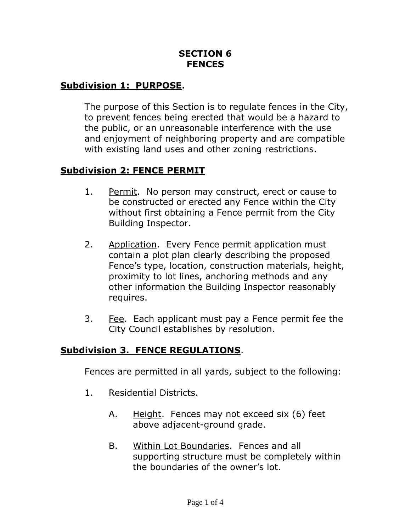### **SECTION 6 FENCES**

## **Subdivision 1: PURPOSE.**

The purpose of this Section is to regulate fences in the City, to prevent fences being erected that would be a hazard to the public, or an unreasonable interference with the use and enjoyment of neighboring property and are compatible with existing land uses and other zoning restrictions.

#### **Subdivision 2: FENCE PERMIT**

- 1. Permit. No person may construct, erect or cause to be constructed or erected any Fence within the City without first obtaining a Fence permit from the City Building Inspector.
- 2. Application. Every Fence permit application must contain a plot plan clearly describing the proposed Fence's type, location, construction materials, height, proximity to lot lines, anchoring methods and any other information the Building Inspector reasonably requires.
- 3. Fee. Each applicant must pay a Fence permit fee the City Council establishes by resolution.

### **Subdivision 3. FENCE REGULATIONS**.

Fences are permitted in all yards, subject to the following:

- 1. Residential Districts.
	- A. Height. Fences may not exceed six (6) feet above adjacent-ground grade.
	- B. Within Lot Boundaries. Fences and all supporting structure must be completely within the boundaries of the owner's lot.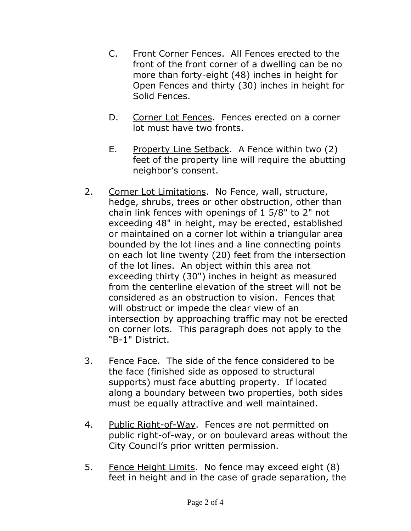- C. Front Corner Fences. All Fences erected to the front of the front corner of a dwelling can be no more than forty-eight (48) inches in height for Open Fences and thirty (30) inches in height for Solid Fences.
- D. Corner Lot Fences. Fences erected on a corner lot must have two fronts.
- E. Property Line Setback. A Fence within two (2) feet of the property line will require the abutting neighbor's consent.
- 2. Corner Lot Limitations. No Fence, wall, structure, hedge, shrubs, trees or other obstruction, other than chain link fences with openings of 1 5/8" to 2" not exceeding 48" in height, may be erected, established or maintained on a corner lot within a triangular area bounded by the lot lines and a line connecting points on each lot line twenty (20) feet from the intersection of the lot lines. An object within this area not exceeding thirty (30") inches in height as measured from the centerline elevation of the street will not be considered as an obstruction to vision. Fences that will obstruct or impede the clear view of an intersection by approaching traffic may not be erected on corner lots. This paragraph does not apply to the "B-1" District.
- 3. Fence Face. The side of the fence considered to be the face (finished side as opposed to structural supports) must face abutting property. If located along a boundary between two properties, both sides must be equally attractive and well maintained.
- 4. Public Right-of-Way. Fences are not permitted on public right-of-way, or on boulevard areas without the City Council's prior written permission.
- 5. Fence Height Limits. No fence may exceed eight (8) feet in height and in the case of grade separation, the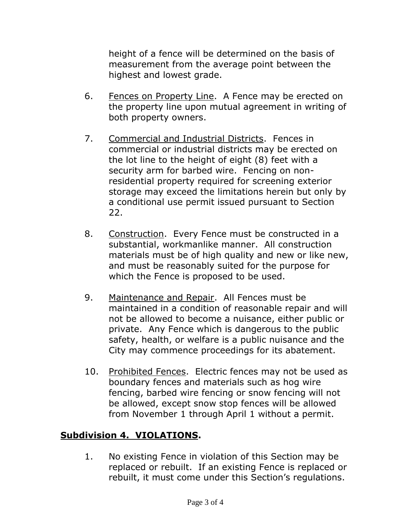height of a fence will be determined on the basis of measurement from the average point between the highest and lowest grade.

- 6. Fences on Property Line. A Fence may be erected on the property line upon mutual agreement in writing of both property owners.
- 7. Commercial and Industrial Districts. Fences in commercial or industrial districts may be erected on the lot line to the height of eight (8) feet with a security arm for barbed wire. Fencing on nonresidential property required for screening exterior storage may exceed the limitations herein but only by a conditional use permit issued pursuant to Section 22.
- 8. Construction. Every Fence must be constructed in a substantial, workmanlike manner. All construction materials must be of high quality and new or like new, and must be reasonably suited for the purpose for which the Fence is proposed to be used.
- 9. Maintenance and Repair. All Fences must be maintained in a condition of reasonable repair and will not be allowed to become a nuisance, either public or private. Any Fence which is dangerous to the public safety, health, or welfare is a public nuisance and the City may commence proceedings for its abatement.
- 10. Prohibited Fences. Electric fences may not be used as boundary fences and materials such as hog wire fencing, barbed wire fencing or snow fencing will not be allowed, except snow stop fences will be allowed from November 1 through April 1 without a permit.

# **Subdivision 4. VIOLATIONS.**

1. No existing Fence in violation of this Section may be replaced or rebuilt. If an existing Fence is replaced or rebuilt, it must come under this Section's regulations.